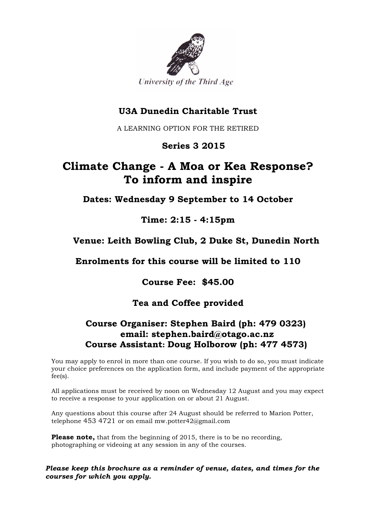

# **U3A Dunedin Charitable Trust**

A LEARNING OPTION FOR THE RETIRED

### **Series 3 2015**

# **Climate Change - A Moa or Kea Response? To inform and inspire**

**Dates: Wednesday 9 September to 14 October**

### **Time: 2:15 - 4:15pm**

### **Venue: Leith Bowling Club, 2 Duke St, Dunedin North**

**Enrolments for this course will be limited to 110**

**Course Fee: \$45.00**

### **Tea and Coffee provided**

### **Course Organiser: Stephen Baird (ph: 479 0323) email: stephen.baird@otago.ac.nz Course Assistant: Doug Holborow (ph: 477 4573)**

You may apply to enrol in more than one course. If you wish to do so, you must indicate your choice preferences on the application form, and include payment of the appropriate fee(s).

All applications must be received by noon on Wednesday 12 August and you may expect to receive a response to your application on or about 21 August.

Any questions about this course after 24 August should be referred to Marion Potter, telephone 453 4721 or on email mw.potter42@gmail.com

**Please note,** that from the beginning of 2015, there is to be no recording, photographing or videoing at any session in any of the courses.

*Please keep this brochure as a reminder of venue, dates, and times for the courses for which you apply.*